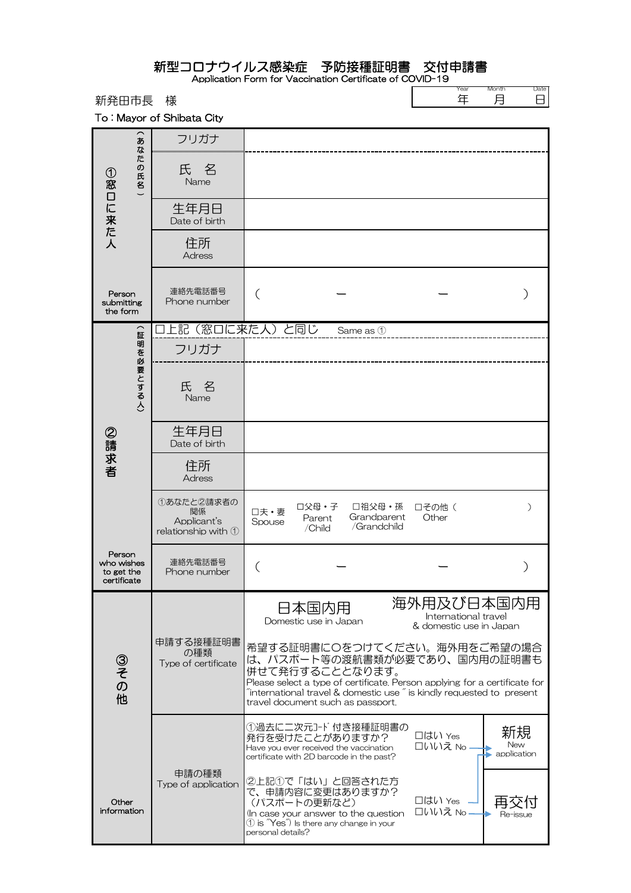| 新発田市長                                             | 様                                                                |                                                                                                                                                                                                                                                                                                  | Year<br>年                                                     | Month<br>Date<br>月<br>⊟    |
|---------------------------------------------------|------------------------------------------------------------------|--------------------------------------------------------------------------------------------------------------------------------------------------------------------------------------------------------------------------------------------------------------------------------------------------|---------------------------------------------------------------|----------------------------|
|                                                   | To: Mayor of Shibata City                                        |                                                                                                                                                                                                                                                                                                  |                                                               |                            |
| あ<br>な<br>庀<br>(の氏名)<br>①窓口に来た人                   | フリガナ                                                             |                                                                                                                                                                                                                                                                                                  |                                                               |                            |
|                                                   | 氏名<br>Name                                                       |                                                                                                                                                                                                                                                                                                  |                                                               |                            |
|                                                   | 生年月日<br>Date of birth                                            |                                                                                                                                                                                                                                                                                                  |                                                               |                            |
|                                                   | 住所<br><b>Adress</b>                                              |                                                                                                                                                                                                                                                                                                  |                                                               |                            |
| Person<br>submitting<br>the form                  | 連絡先電話番号<br>Phone number                                          |                                                                                                                                                                                                                                                                                                  |                                                               |                            |
| $\overline{\phantom{1}}$                          |                                                                  | 上記(窓口に来た人)と同じ<br>Same as 1                                                                                                                                                                                                                                                                       |                                                               |                            |
|                                                   | フリガナ                                                             |                                                                                                                                                                                                                                                                                                  |                                                               |                            |
| 証明を必要とする人)<br>②請求者                                | 氏 名<br>Name                                                      |                                                                                                                                                                                                                                                                                                  |                                                               |                            |
|                                                   | 生年月日<br>Date of birth                                            |                                                                                                                                                                                                                                                                                                  |                                                               |                            |
|                                                   | 住所<br><b>Adress</b>                                              |                                                                                                                                                                                                                                                                                                  |                                                               |                            |
|                                                   | ①あなたと2請求者の<br>関係<br>Applicant's<br>relationship with $\mathbb O$ | 口父母·子<br>□祖父母・孫<br>□夫・妻<br>Grandparent<br>Parent<br>Spouse<br>/Grandchild<br>/Child                                                                                                                                                                                                              | □その他 (<br>Other                                               |                            |
| Person<br>who wishes<br>to get the<br>certificate | 連絡先電話番号<br>Phone number                                          |                                                                                                                                                                                                                                                                                                  |                                                               |                            |
| ③その他                                              |                                                                  | 日本国内用<br>Domestic use in Japan                                                                                                                                                                                                                                                                   | 海外用及び日本国内用<br>International travel<br>& domestic use in Japan |                            |
|                                                   | 申請する接種証明書<br>の種類<br>Type of certificate                          | 希望する証明書にOをつけてください。海外用をご希望の場合<br>は、パスポート等の渡航書類が必要であり、国内用の証明書も<br>併せて発行することとなります。<br>Please select a type of certificate. Person applying for a certificate for<br>$\tilde{ }$ international travel & domestic use $\tilde{ }$ is kindly requested to present<br>travel document such as passport. |                                                               |                            |
|                                                   |                                                                  | ①過去に二次元コード付き接種証明書の<br>発行を受けたことがありますか?<br>Have you ever received the vaccination<br>certificate with 2D barcode in the past?                                                                                                                                                                      | 口はい Yes<br>□いいえ No ·                                          | 新規<br>New<br>• application |
| Other<br>information                              | 申請の種類<br>Type of application                                     | ②上記①で「はい」と回答された方<br>で、申請内容に変更はありますか?<br>(パスポートの更新など)<br>In case your answer to the question<br>$\textcircled{1}$ is $\textcircled{Y}$ es $\textcircled{1}$ ls there any change in your<br>personal details?                                                                                      | □はい Yes<br>口いいえ No                                            | Re-issue                   |

新型コロナウイルス感染症 予防接種証明書 交付申請書 Application Form for Vaccination Certificate of COVID-19